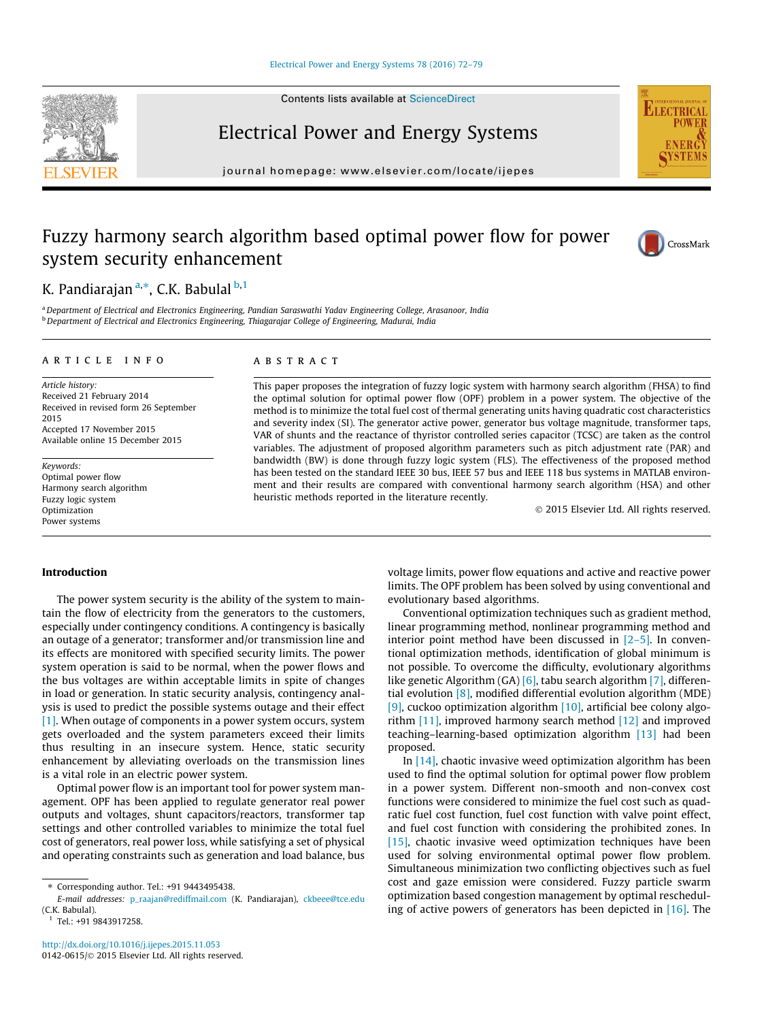#### [Electrical Power and Energy Systems 78 \(2016\) 72–79](http://dx.doi.org/10.1016/j.ijepes.2015.11.053)

## Electrical Power and Energy Systems

journal homepage: [www.elsevier.com/locate/ijepes](http://www.elsevier.com/locate/ijepes)

## Fuzzy harmony search algorithm based optimal power flow for power system security enhancement

### K. Pandiarajan <sup>a,</sup>\*, C.K. Babulal <sup>b,1</sup>

a Department of Electrical and Electronics Engineering, Pandian Saraswathi Yadav Engineering College, Arasanoor, India <sup>b</sup> Department of Electrical and Electronics Engineering, Thiagarajar College of Engineering, Madurai, India

#### article info

Article history: Received 21 February 2014 Received in revised form 26 September 2015 Accepted 17 November 2015 Available online 15 December 2015

Keywords: Optimal power flow Harmony search algorithm Fuzzy logic system Optimization Power systems

#### ABSTRACT

This paper proposes the integration of fuzzy logic system with harmony search algorithm (FHSA) to find the optimal solution for optimal power flow (OPF) problem in a power system. The objective of the method is to minimize the total fuel cost of thermal generating units having quadratic cost characteristics and severity index (SI). The generator active power, generator bus voltage magnitude, transformer taps, VAR of shunts and the reactance of thyristor controlled series capacitor (TCSC) are taken as the control variables. The adjustment of proposed algorithm parameters such as pitch adjustment rate (PAR) and bandwidth (BW) is done through fuzzy logic system (FLS). The effectiveness of the proposed method has been tested on the standard IEEE 30 bus, IEEE 57 bus and IEEE 118 bus systems in MATLAB environment and their results are compared with conventional harmony search algorithm (HSA) and other heuristic methods reported in the literature recently.

2015 Elsevier Ltd. All rights reserved.

#### Introduction

The power system security is the ability of the system to maintain the flow of electricity from the generators to the customers, especially under contingency conditions. A contingency is basically an outage of a generator; transformer and/or transmission line and its effects are monitored with specified security limits. The power system operation is said to be normal, when the power flows and the bus voltages are within acceptable limits in spite of changes in load or generation. In static security analysis, contingency analysis is used to predict the possible systems outage and their effect [1]. When outage of components in a power system occurs, system gets overloaded and the system parameters exceed their limits thus resulting in an insecure system. Hence, static security enhancement by alleviating overloads on the transmission lines is a vital role in an electric power system.

Optimal power flow is an important tool for power system management. OPF has been applied to regulate generator real power outputs and voltages, shunt capacitors/reactors, transformer tap settings and other controlled variables to minimize the total fuel cost of generators, real power loss, while satisfying a set of physical and operating constraints such as generation and load balance, bus voltage limits, power flow equations and active and reactive power limits. The OPF problem has been solved by using conventional and evolutionary based algorithms.

Conventional optimization techniques such as gradient method, linear programming method, nonlinear programming method and interior point method have been discussed in  $[2-5]$ . In conventional optimization methods, identification of global minimum is not possible. To overcome the difficulty, evolutionary algorithms like genetic Algorithm  $(GA)$  [6], tabu search algorithm [7], differential evolution  $[8]$ , modified differential evolution algorithm (MDE) [9], cuckoo optimization algorithm  $[10]$ , artificial bee colony algorithm  $[11]$ , improved harmony search method  $[12]$  and improved teaching–learning-based optimization algorithm [13] had been proposed.

In [14], chaotic invasive weed optimization algorithm has been used to find the optimal solution for optimal power flow problem in a power system. Different non-smooth and non-convex cost functions were considered to minimize the fuel cost such as quadratic fuel cost function, fuel cost function with valve point effect, and fuel cost function with considering the prohibited zones. In [15], chaotic invasive weed optimization techniques have been used for solving environmental optimal power flow problem. Simultaneous minimization two conflicting objectives such as fuel cost and gaze emission were considered. Fuzzy particle swarm optimization based congestion management by optimal rescheduling of active powers of generators has been depicted in  $[16]$ . The





**ELECTRICA** 

<sup>⇑</sup> Corresponding author. Tel.: +91 9443495438.

E-mail addresses: [p\\_raajan@rediffmail.com](mailto:p_raajan@rediffmail.com) (K. Pandiarajan), [ckbeee@tce.edu](mailto:ckbeee@tce.edu) (C.K. Babulal).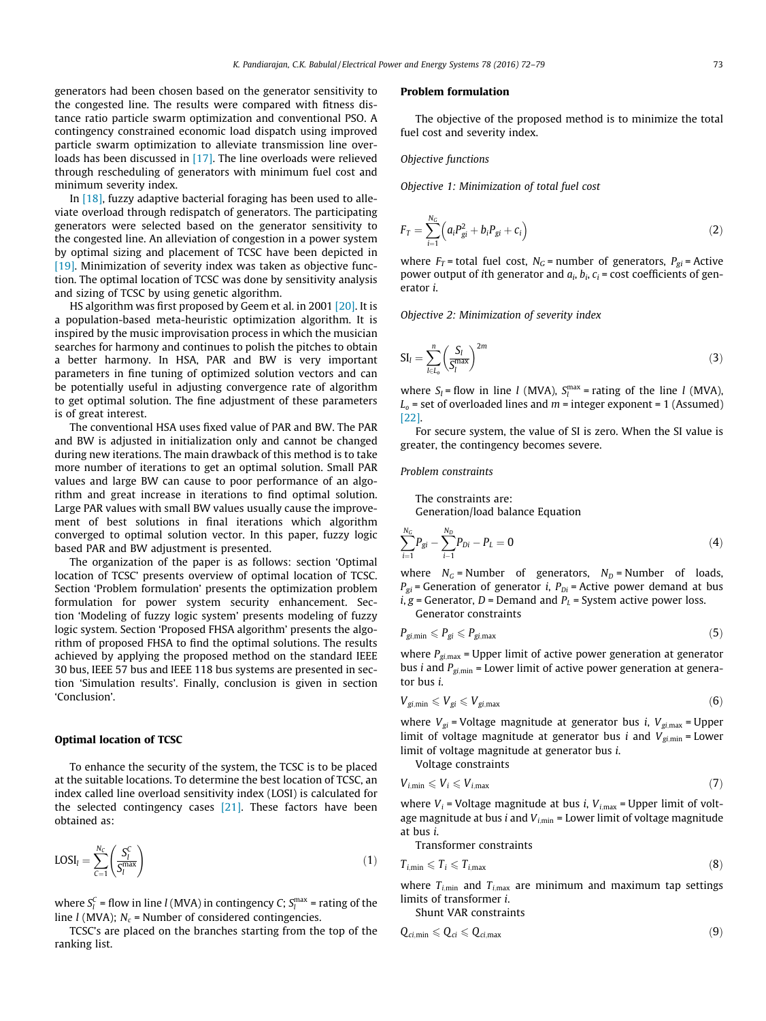generators had been chosen based on the generator sensitivity to the congested line. The results were compared with fitness distance ratio particle swarm optimization and conventional PSO. A contingency constrained economic load dispatch using improved particle swarm optimization to alleviate transmission line overloads has been discussed in [17]. The line overloads were relieved through rescheduling of generators with minimum fuel cost and minimum severity index.

In [18], fuzzy adaptive bacterial foraging has been used to alleviate overload through redispatch of generators. The participating generators were selected based on the generator sensitivity to the congested line. An alleviation of congestion in a power system by optimal sizing and placement of TCSC have been depicted in [19]. Minimization of severity index was taken as objective function. The optimal location of TCSC was done by sensitivity analysis and sizing of TCSC by using genetic algorithm.

HS algorithm was first proposed by Geem et al. in 2001 [20]. It is a population-based meta-heuristic optimization algorithm. It is inspired by the music improvisation process in which the musician searches for harmony and continues to polish the pitches to obtain a better harmony. In HSA, PAR and BW is very important parameters in fine tuning of optimized solution vectors and can be potentially useful in adjusting convergence rate of algorithm to get optimal solution. The fine adjustment of these parameters is of great interest.

The conventional HSA uses fixed value of PAR and BW. The PAR and BW is adjusted in initialization only and cannot be changed during new iterations. The main drawback of this method is to take more number of iterations to get an optimal solution. Small PAR values and large BW can cause to poor performance of an algorithm and great increase in iterations to find optimal solution. Large PAR values with small BW values usually cause the improvement of best solutions in final iterations which algorithm converged to optimal solution vector. In this paper, fuzzy logic based PAR and BW adjustment is presented.

The organization of the paper is as follows: section 'Optimal location of TCSC' presents overview of optimal location of TCSC. Section 'Problem formulation' presents the optimization problem formulation for power system security enhancement. Section 'Modeling of fuzzy logic system' presents modeling of fuzzy logic system. Section 'Proposed FHSA algorithm' presents the algorithm of proposed FHSA to find the optimal solutions. The results achieved by applying the proposed method on the standard IEEE 30 bus, IEEE 57 bus and IEEE 118 bus systems are presented in section 'Simulation results'. Finally, conclusion is given in section 'Conclusion'.

#### Optimal location of TCSC

To enhance the security of the system, the TCSC is to be placed at the suitable locations. To determine the best location of TCSC, an index called line overload sensitivity index (LOSI) is calculated for the selected contingency cases [21]. These factors have been obtained as:

$$
LOSI_{l} = \sum_{C=1}^{N_C} \left( \frac{S_l^C}{S_l^{\max}} \right) \tag{1}
$$

where  $S_l^C$  = flow in line l (MVA) in contingency C;  $S_l^{\text{max}}$  = rating of the line  $l$  (MVA);  $N_c$  = Number of considered contingencies.

TCSC's are placed on the branches starting from the top of the ranking list.

#### Problem formulation

The objective of the proposed method is to minimize the total fuel cost and severity index.

#### Objective functions

Objective 1: Minimization of total fuel cost

$$
F_T = \sum_{i=1}^{N_G} \left( a_i P_{gi}^2 + b_i P_{gi} + c_i \right) \tag{2}
$$

where  $F_T$  = total fuel cost,  $N_G$  = number of generators,  $P_{gi}$  = Active power output of ith generator and  $a_i$ ,  $b_i$ ,  $c_i$  = cost coefficients of generator i.

Objective 2: Minimization of severity index

$$
SI_l = \sum_{l \in L_0}^{n} \left(\frac{S_l}{S_l^{\max}}\right)^{2m} \tag{3}
$$

where  $S_l$  = flow in line *l* (MVA),  $S_l^{\max}$  = rating of the line *l* (MVA),  $L_0$  = set of overloaded lines and  $m$  = integer exponent = 1 (Assumed) [22].

For secure system, the value of SI is zero. When the SI value is greater, the contingency becomes severe.

#### Problem constraints

The constraints are: Generation/load balance Equation

$$
\sum_{i=1}^{N_G} P_{gi} - \sum_{i=1}^{N_D} P_{Di} - P_L = 0
$$
\n(4)

where  $N_G$  = Number of generators,  $N_D$  = Number of loads,  $P_{gi}$  = Generation of generator *i*,  $P_{Di}$  = Active power demand at bus  $i, g$  = Generator, D = Demand and  $P_L$  = System active power loss. Generator constraints

$$
P_{gi,min} \leqslant P_{gi} \leqslant P_{gi,max} \tag{5}
$$

where  $P_{gi, max}$  = Upper limit of active power generation at generator bus *i* and  $P_{\text{g, min}}$  = Lower limit of active power generation at generator bus i.

$$
V_{gi,min} \leqslant V_{gi} \leqslant V_{gi,max} \tag{6}
$$

where  $V_{gi}$  = Voltage magnitude at generator bus *i*,  $V_{gi,max}$  = Upper limit of voltage magnitude at generator bus *i* and  $V_{\text{g}i, \text{min}}$  = Lower limit of voltage magnitude at generator bus i.

Voltage constraints

$$
V_{i,\min} \leqslant V_i \leqslant V_{i,\max} \tag{7}
$$

where  $V_i$  = Voltage magnitude at bus *i*,  $V_{i, \text{max}}$  = Upper limit of voltage magnitude at bus  $i$  and  $V_{i,min}$  = Lower limit of voltage magnitude at bus i.

Transformer constraints

$$
T_{i,\min} \leqslant T_i \leqslant T_{i,\max} \tag{8}
$$

where  $T_{i, min}$  and  $T_{i, max}$  are minimum and maximum tap settings limits of transformer i.

Shunt VAR constraints

$$
Q_{ci,min} \leq Q_{ci} \leq Q_{ci,max} \tag{9}
$$